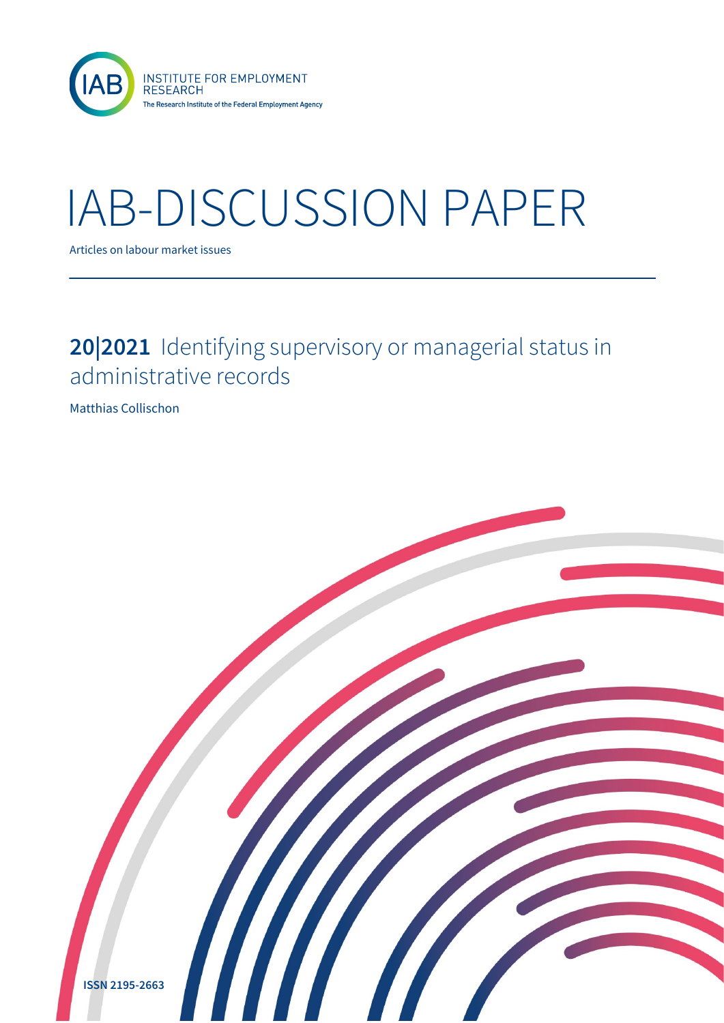

# IAB-DISCUSSION PAPER

Articles on labour market issues

### **20|2021** Identifying supervisory or managerial status in administrative records

Matthias Collischon

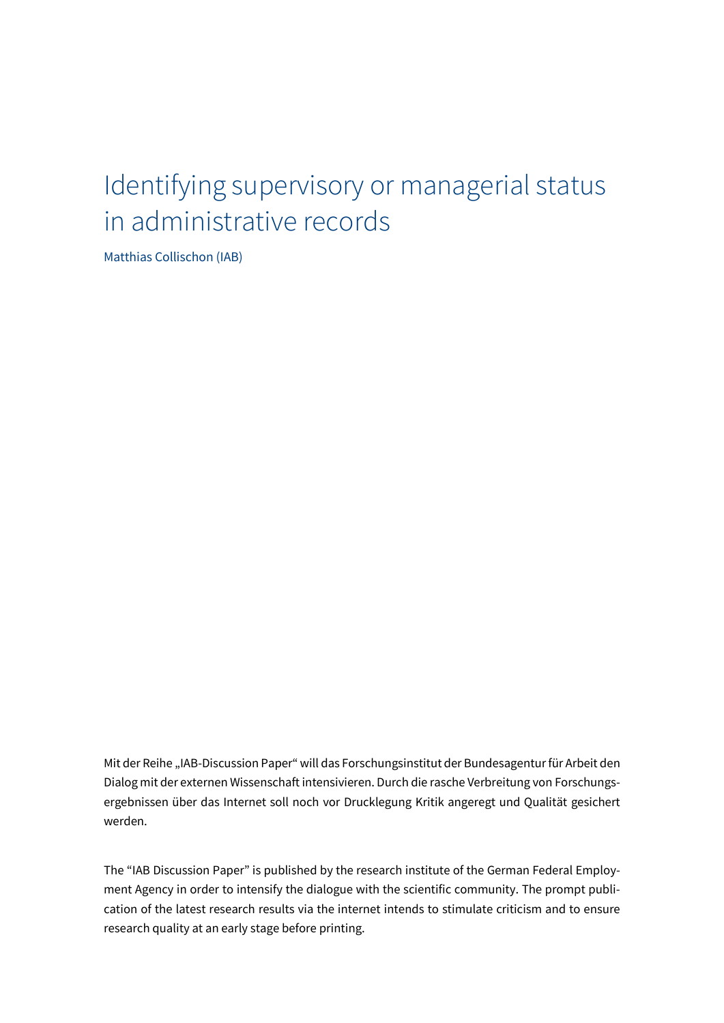# Identifying supervisory or managerial status in administrative records

Matthias Collischon (IAB)

Mit der Reihe "IAB-Discussion Paper" will das Forschungsinstitut der Bundesagentur für Arbeit den Dialog mit der externen Wissenschaft intensivieren. Durch die rasche Verbreitung von Forschungsergebnissen über das Internet soll noch vor Drucklegung Kritik angeregt und Qualität gesichert werden.

The "IAB Discussion Paper" is published by the research institute of the German Federal Employment Agency in order to intensify the dialogue with the scientific community. The prompt publication of the latest research results via the internet intends to stimulate criticism and to ensure research quality at an early stage before printing.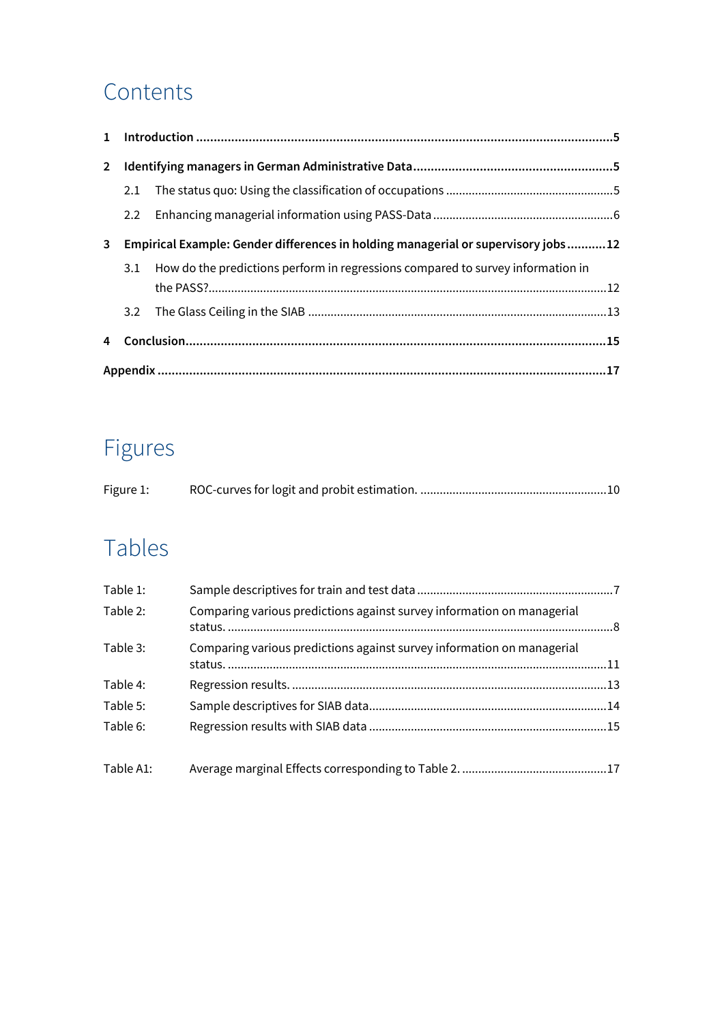### Contents

| $2^{\circ}$ |                                                                                   |                                                                                     |  |  |  |  |  |
|-------------|-----------------------------------------------------------------------------------|-------------------------------------------------------------------------------------|--|--|--|--|--|
|             | 2.1                                                                               |                                                                                     |  |  |  |  |  |
|             | 2.2                                                                               |                                                                                     |  |  |  |  |  |
| 3           | Empirical Example: Gender differences in holding managerial or supervisory jobs12 |                                                                                     |  |  |  |  |  |
|             |                                                                                   | 3.1 How do the predictions perform in regressions compared to survey information in |  |  |  |  |  |
|             | 3.2                                                                               |                                                                                     |  |  |  |  |  |
| 4           |                                                                                   |                                                                                     |  |  |  |  |  |
|             |                                                                                   |                                                                                     |  |  |  |  |  |

### Figures

| Figure 1: |  |
|-----------|--|
|           |  |

### Tables

| Table 1:  |                                                                        |  |
|-----------|------------------------------------------------------------------------|--|
| Table 2:  | Comparing various predictions against survey information on managerial |  |
| Table 3:  | Comparing various predictions against survey information on managerial |  |
| Table 4:  |                                                                        |  |
| Table 5:  |                                                                        |  |
| Table 6:  |                                                                        |  |
| Table A1: |                                                                        |  |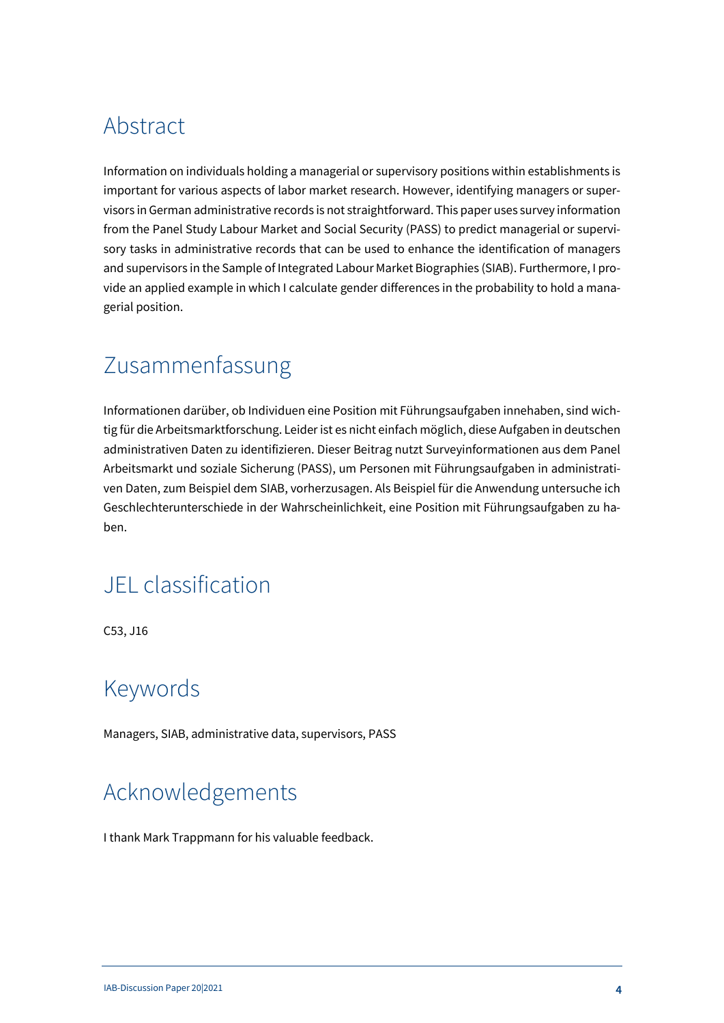### Abstract

Information on individuals holding a managerial or supervisory positions within establishments is important for various aspects of labor market research. However, identifying managers or supervisors in German administrative records is not straightforward. This paper uses survey information from the Panel Study Labour Market and Social Security (PASS) to predict managerial or supervisory tasks in administrative records that can be used to enhance the identification of managers and supervisors in the Sample of Integrated Labour Market Biographies (SIAB). Furthermore, I provide an applied example in which I calculate gender differences in the probability to hold a managerial position.

### Zusammenfassung

Informationen darüber, ob Individuen eine Position mit Führungsaufgaben innehaben, sind wichtig für die Arbeitsmarktforschung. Leider ist es nicht einfach möglich, diese Aufgaben in deutschen administrativen Daten zu identifizieren. Dieser Beitrag nutzt Surveyinformationen aus dem Panel Arbeitsmarkt und soziale Sicherung (PASS), um Personen mit Führungsaufgaben in administrativen Daten, zum Beispiel dem SIAB, vorherzusagen. Als Beispiel für die Anwendung untersuche ich Geschlechterunterschiede in der Wahrscheinlichkeit, eine Position mit Führungsaufgaben zu haben.

### JEL classification

C53, J16

### Keywords

Managers, SIAB, administrative data, supervisors, PASS

### Acknowledgements

I thank Mark Trappmann for his valuable feedback.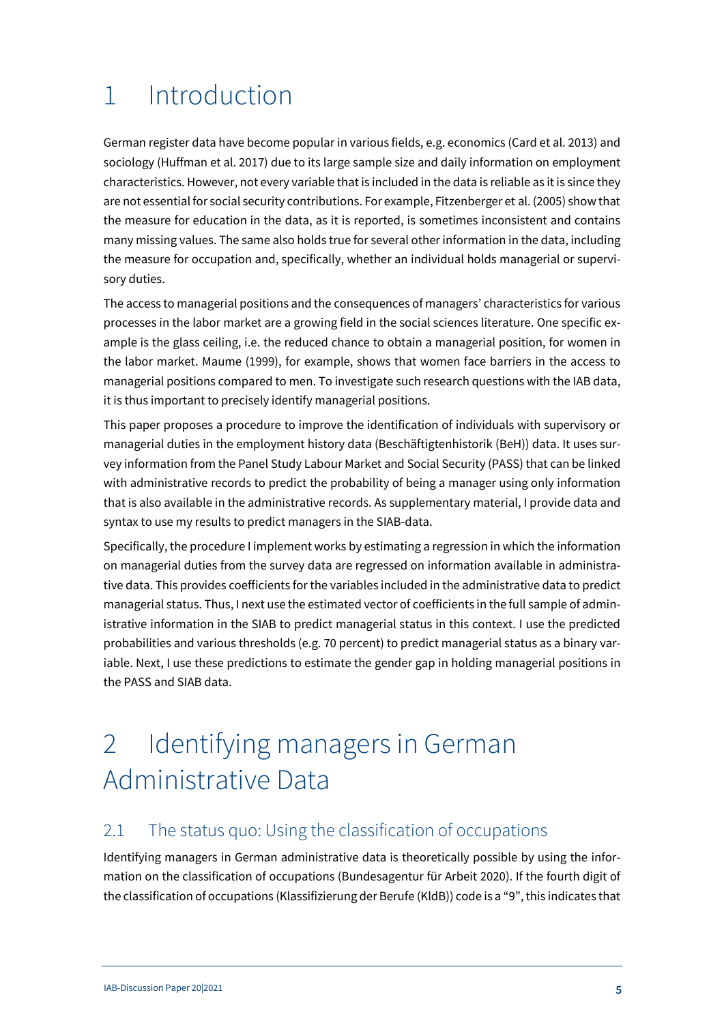# <span id="page-4-0"></span>1 Introduction

German register data have become popular in various fields, e.g. economics (Card et al. 2013) and sociology (Huffman et al. 2017) due to its large sample size and daily information on employment characteristics. However, not every variable that is included in the data is reliable as it is since they are not essential for social security contributions. For example, Fitzenberger et al. (2005) show that the measure for education in the data, as it is reported, is sometimes inconsistent and contains many missing values. The same also holds true for several other information in the data, including the measure for occupation and, specifically, whether an individual holds managerial or supervisory duties.

The access to managerial positions and the consequences of managers' characteristics for various processes in the labor market are a growing field in the social sciences literature. One specific example is the glass ceiling, i.e. the reduced chance to obtain a managerial position, for women in the labor market. Maume (1999), for example, shows that women face barriers in the access to managerial positions compared to men. To investigate such research questions with the IAB data, it is thus important to precisely identify managerial positions.

This paper proposes a procedure to improve the identification of individuals with supervisory or managerial duties in the employment history data (Beschäftigtenhistorik (BeH)) data. It uses survey information from the Panel Study Labour Market and Social Security (PASS) that can be linked with administrative records to predict the probability of being a manager using only information that is also available in the administrative records. As supplementary material, I provide data and syntax to use my results to predict managers in the SIAB-data.

Specifically, the procedure I implement works by estimating a regression in which the information on managerial duties from the survey data are regressed on information available in administrative data. This provides coefficients for the variables included in the administrative data to predict managerial status. Thus, I next use the estimated vector of coefficients in the full sample of administrative information in the SIAB to predict managerial status in this context. I use the predicted probabilities and various thresholds (e.g. 70 percent) to predict managerial status as a binary variable. Next, I use these predictions to estimate the gender gap in holding managerial positions in the PASS and SIAB data.

# <span id="page-4-1"></span>2 Identifying managers in German Administrative Data

### <span id="page-4-2"></span>2.1 The status quo: Using the classification of occupations

Identifying managers in German administrative data is theoretically possible by using the information on the classification of occupations (Bundesagentur für Arbeit 2020). If the fourth digit of the classification of occupations (Klassifizierung der Berufe (KldB)) code is a "9", this indicates that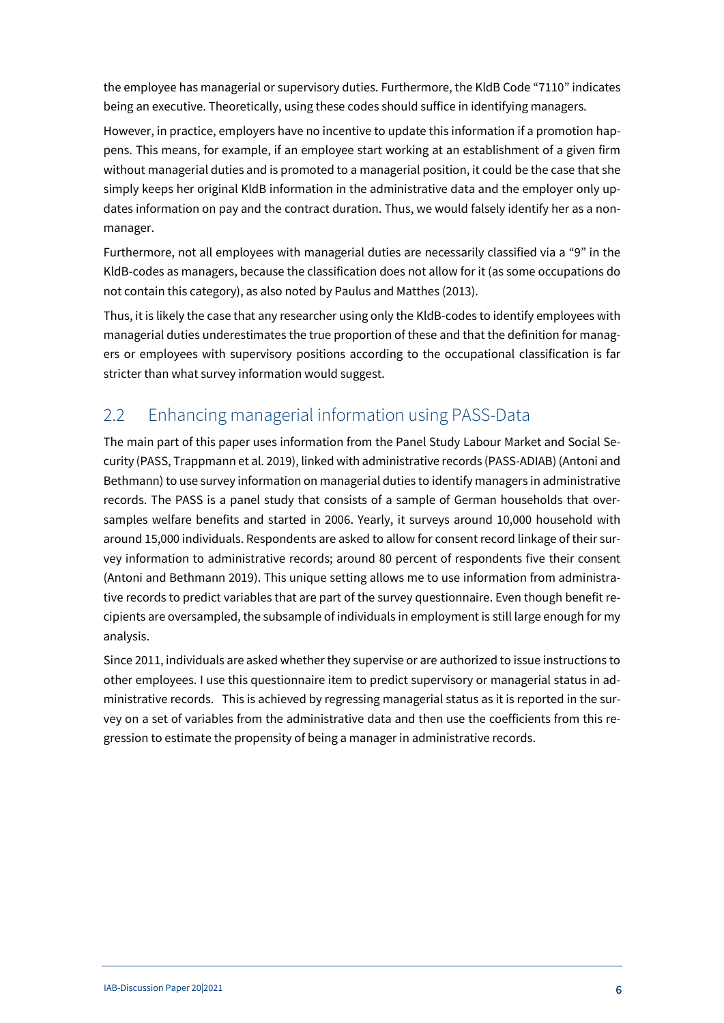the employee has managerial or supervisory duties. Furthermore, the KldB Code "7110" indicates being an executive. Theoretically, using these codes should suffice in identifying managers.

However, in practice, employers have no incentive to update this information if a promotion happens. This means, for example, if an employee start working at an establishment of a given firm without managerial duties and is promoted to a managerial position, it could be the case that she simply keeps her original KldB information in the administrative data and the employer only updates information on pay and the contract duration. Thus, we would falsely identify her as a nonmanager.

Furthermore, not all employees with managerial duties are necessarily classified via a "9" in the KldB-codes as managers, because the classification does not allow for it (as some occupations do not contain this category), as also noted by Paulus and Matthes (2013).

Thus, it is likely the case that any researcher using only the KldB-codes to identify employees with managerial duties underestimates the true proportion of these and that the definition for managers or employees with supervisory positions according to the occupational classification is far stricter than what survey information would suggest.

### <span id="page-5-0"></span>2.2 Enhancing managerial information using PASS-Data

The main part of this paper uses information from the Panel Study Labour Market and Social Security (PASS, Trappmann et al. 2019), linked with administrative records (PASS-ADIAB) (Antoni and Bethmann) to use survey information on managerial duties to identify managers in administrative records. The PASS is a panel study that consists of a sample of German households that oversamples welfare benefits and started in 2006. Yearly, it surveys around 10,000 household with around 15,000 individuals. Respondents are asked to allow for consent record linkage of their survey information to administrative records; around 80 percent of respondents five their consent (Antoni and Bethmann 2019). This unique setting allows me to use information from administrative records to predict variables that are part of the survey questionnaire. Even though benefit recipients are oversampled, the subsample of individuals in employment is still large enough for my analysis.

Since 2011, individuals are asked whether they supervise or are authorized to issue instructions to other employees. I use this questionnaire item to predict supervisory or managerial status in administrative records. This is achieved by regressing managerial status as it is reported in the survey on a set of variables from the administrative data and then use the coefficients from this regression to estimate the propensity of being a manager in administrative records.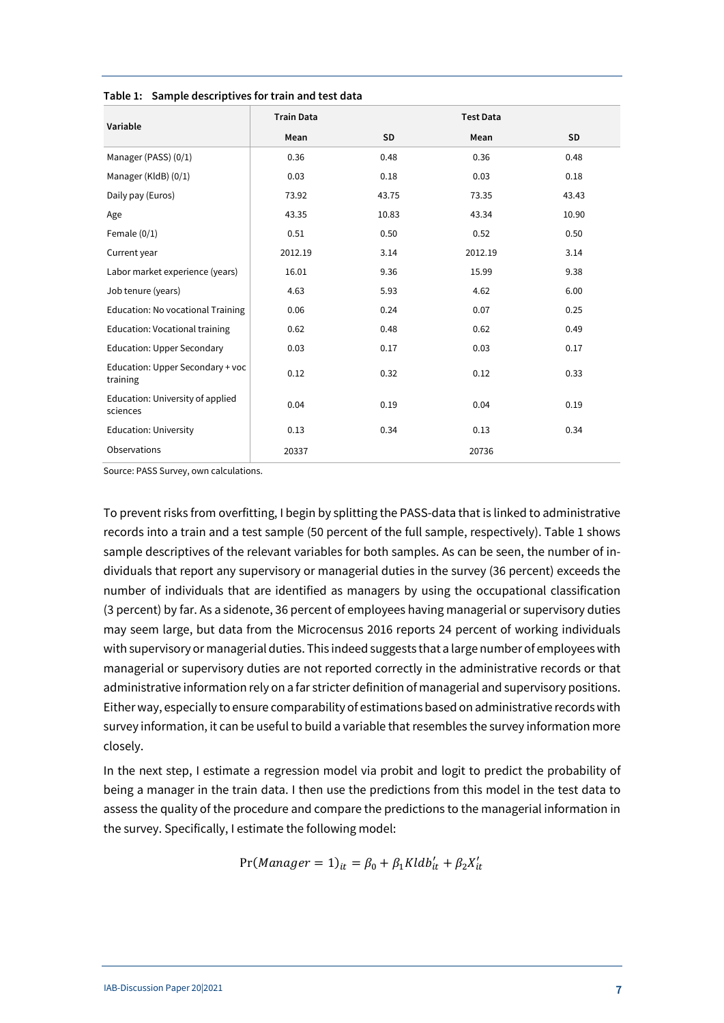|                                              | <b>Train Data</b> |           | <b>Test Data</b> |           |
|----------------------------------------------|-------------------|-----------|------------------|-----------|
| Variable                                     | Mean              | <b>SD</b> | Mean             | <b>SD</b> |
| Manager (PASS) (0/1)                         | 0.36              | 0.48      | 0.36             | 0.48      |
| Manager (KldB) (0/1)                         | 0.03              | 0.18      | 0.03             | 0.18      |
| Daily pay (Euros)                            | 73.92             | 43.75     | 73.35            | 43.43     |
| Age                                          | 43.35             | 10.83     | 43.34            | 10.90     |
| Female $(0/1)$                               | 0.51              | 0.50      | 0.52             | 0.50      |
| Current year                                 | 2012.19           | 3.14      | 2012.19          | 3.14      |
| Labor market experience (years)              | 16.01             | 9.36      | 15.99            | 9.38      |
| Job tenure (years)                           | 4.63              | 5.93      | 4.62             | 6.00      |
| Education: No vocational Training            | 0.06              | 0.24      | 0.07             | 0.25      |
| Education: Vocational training               | 0.62              | 0.48      | 0.62             | 0.49      |
| <b>Education: Upper Secondary</b>            | 0.03              | 0.17      | 0.03             | 0.17      |
| Education: Upper Secondary + voc<br>training | 0.12              | 0.32      | 0.12             | 0.33      |
| Education: University of applied<br>sciences | 0.04              | 0.19      | 0.04             | 0.19      |
| <b>Education: University</b>                 | 0.13              | 0.34      | 0.13             | 0.34      |
| Observations                                 | 20337             |           | 20736            |           |

<span id="page-6-0"></span>**Table 1: Sample descriptives for train and test data**

Source: PASS Survey, own calculations.

To prevent risks from overfitting, I begin by splitting the PASS-data that is linked to administrative records into a train and a test sample (50 percent of the full sample, respectively). [Table 1](#page-6-0) shows sample descriptives of the relevant variables for both samples. As can be seen, the number of individuals that report any supervisory or managerial duties in the survey (36 percent) exceeds the number of individuals that are identified as managers by using the occupational classification (3 percent) by far. As a sidenote, 36 percent of employees having managerial or supervisory duties may seem large, but data from the Microcensus 2016 reports 24 percent of working individuals with supervisory or managerial duties. This indeed suggests that a large number of employees with managerial or supervisory duties are not reported correctly in the administrative records or that administrative information rely on a far stricter definition of managerial and supervisory positions. Either way, especially to ensure comparability of estimations based on administrative records with survey information, it can be useful to build a variable that resembles the survey information more closely.

In the next step, I estimate a regression model via probit and logit to predict the probability of being a manager in the train data. I then use the predictions from this model in the test data to assess the quality of the procedure and compare the predictions to the managerial information in the survey. Specifically, I estimate the following model:

$$
Pr(Manager = 1)_{it} = \beta_0 + \beta_1 Kldb'_{it} + \beta_2 X'_{it}
$$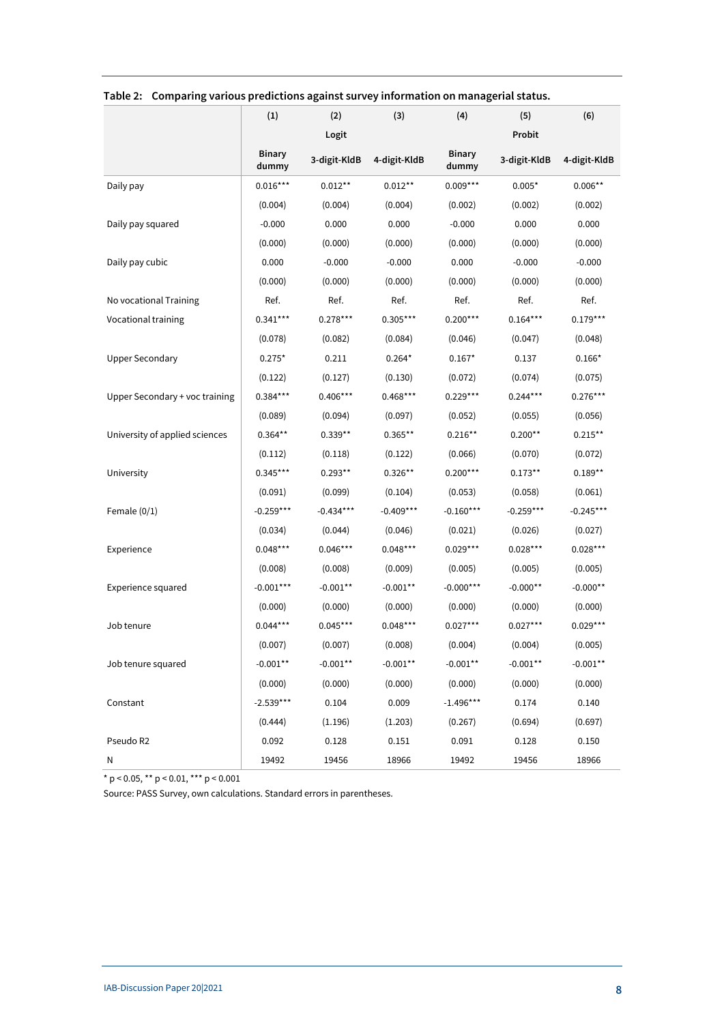|                                | (1)                    | (2)          | (3)          | (4)                    | (5)          | (6)          |
|--------------------------------|------------------------|--------------|--------------|------------------------|--------------|--------------|
|                                |                        | Logit        |              |                        | Probit       |              |
|                                | <b>Binary</b><br>dummy | 3-digit-KldB | 4-digit-KldB | <b>Binary</b><br>dummy | 3-digit-KldB | 4-digit-KldB |
| Daily pay                      | $0.016***$             | $0.012**$    | $0.012**$    | $0.009***$             | $0.005*$     | $0.006**$    |
|                                | (0.004)                | (0.004)      | (0.004)      | (0.002)                | (0.002)      | (0.002)      |
| Daily pay squared              | $-0.000$               | 0.000        | 0.000        | $-0.000$               | 0.000        | 0.000        |
|                                | (0.000)                | (0.000)      | (0.000)      | (0.000)                | (0.000)      | (0.000)      |
| Daily pay cubic                | 0.000                  | $-0.000$     | $-0.000$     | 0.000                  | $-0.000$     | $-0.000$     |
|                                | (0.000)                | (0.000)      | (0.000)      | (0.000)                | (0.000)      | (0.000)      |
| No vocational Training         | Ref.                   | Ref.         | Ref.         | Ref.                   | Ref.         | Ref.         |
| Vocational training            | $0.341***$             | $0.278***$   | $0.305***$   | $0.200***$             | $0.164***$   | $0.179***$   |
|                                | (0.078)                | (0.082)      | (0.084)      | (0.046)                | (0.047)      | (0.048)      |
| <b>Upper Secondary</b>         | $0.275*$               | 0.211        | $0.264*$     | $0.167*$               | 0.137        | $0.166*$     |
|                                | (0.122)                | (0.127)      | (0.130)      | (0.072)                | (0.074)      | (0.075)      |
| Upper Secondary + voc training | $0.384***$             | $0.406***$   | $0.468***$   | $0.229***$             | $0.244***$   | $0.276***$   |
|                                | (0.089)                | (0.094)      | (0.097)      | (0.052)                | (0.055)      | (0.056)      |
| University of applied sciences | $0.364**$              | $0.339**$    | $0.365**$    | $0.216***$             | $0.200**$    | $0.215**$    |
|                                | (0.112)                | (0.118)      | (0.122)      | (0.066)                | (0.070)      | (0.072)      |
| University                     | $0.345***$             | $0.293**$    | $0.326**$    | $0.200***$             | $0.173**$    | $0.189**$    |
|                                | (0.091)                | (0.099)      | (0.104)      | (0.053)                | (0.058)      | (0.061)      |
| Female $(0/1)$                 | $-0.259***$            | $-0.434***$  | $-0.409***$  | $-0.160***$            | $-0.259***$  | $-0.245***$  |
|                                | (0.034)                | (0.044)      | (0.046)      | (0.021)                | (0.026)      | (0.027)      |
| Experience                     | $0.048***$             | $0.046***$   | $0.048***$   | $0.029***$             | $0.028***$   | $0.028***$   |
|                                | (0.008)                | (0.008)      | (0.009)      | (0.005)                | (0.005)      | (0.005)      |
| Experience squared             | $-0.001***$            | $-0.001**$   | $-0.001**$   | $-0.000***$            | $-0.000**$   | $-0.000**$   |
|                                | (0.000)                | (0.000)      | (0.000)      | (0.000)                | (0.000)      | (0.000)      |
| Job tenure                     | $0.044***$             | $0.045***$   | $0.048***$   | $0.027***$             | $0.027***$   | $0.029***$   |
|                                | (0.007)                | (0.007)      | (0.008)      | (0.004)                | (0.004)      | (0.005)      |
| Job tenure squared             | $-0.001**$             | $-0.001**$   | $-0.001**$   | $-0.001**$             | $-0.001**$   | $-0.001**$   |
|                                | (0.000)                | (0.000)      | (0.000)      | (0.000)                | (0.000)      | (0.000)      |
| Constant                       | $-2.539***$            | 0.104        | 0.009        | $-1.496***$            | 0.174        | 0.140        |
|                                | (0.444)                | (1.196)      | (1.203)      | (0.267)                | (0.694)      | (0.697)      |
| Pseudo R2                      | 0.092                  | 0.128        | 0.151        | 0.091                  | 0.128        | 0.150        |
| N                              | 19492                  | 19456        | 18966        | 19492                  | 19456        | 18966        |

<span id="page-7-0"></span>**Table 2: Comparing various predictions against survey information on managerial status.**

\* p < 0.05, \*\* p < 0.01, \*\*\* p < 0.001

Source: PASS Survey, own calculations. Standard errors in parentheses.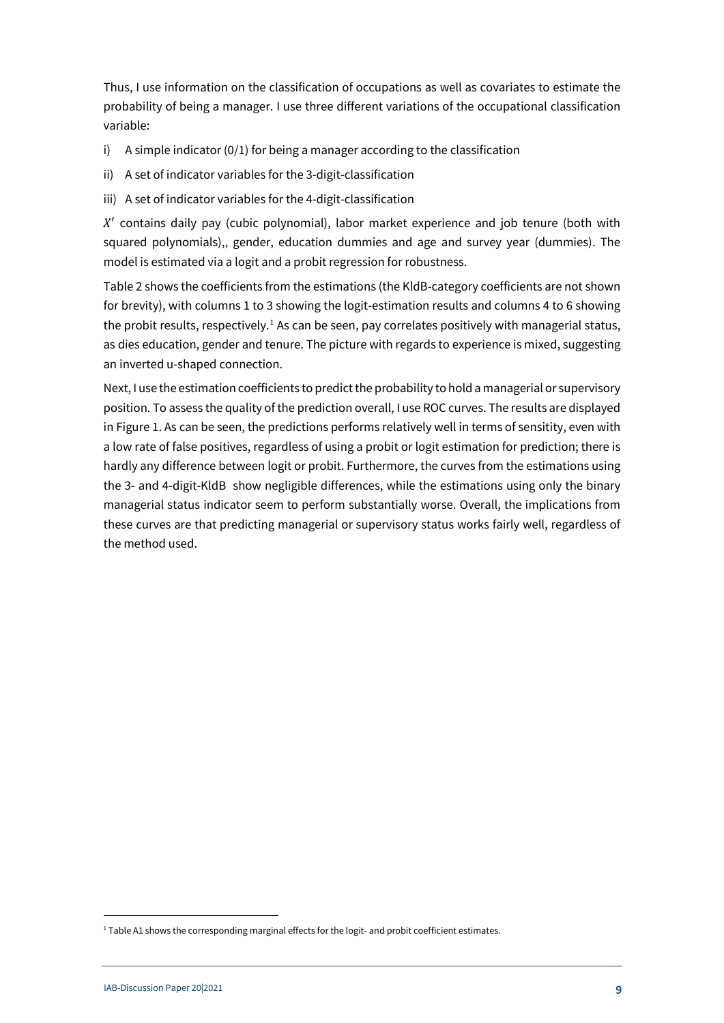Thus, I use information on the classification of occupations as well as covariates to estimate the probability of being a manager. I use three different variations of the occupational classification variable:

- i) A simple indicator (0/1) for being a manager according to the classification
- ii) A set of indicator variables for the 3-digit-classification
- iii) A set of indicator variables for the 4-digit-classification

X′ contains daily pay (cubic polynomial), labor market experience and job tenure (both with squared polynomials),, gender, education dummies and age and survey year (dummies). The model is estimated via a logit and a probit regression for robustness.

[Table 2](#page-7-0) shows the coefficients from the estimations (the KldB-category coefficients are not shown for brevity), with columns 1 to 3 showing the logit-estimation results and columns 4 to 6 showing the probit results, respectively.<sup>[1](#page-8-0)</sup> As can be seen, pay correlates positively with managerial status, as dies education, gender and tenure. The picture with regards to experience is mixed, suggesting an inverted u-shaped connection.

Next, I use the estimation coefficients to predict the probability to hold a managerial or supervisory position. To assess the quality of the prediction overall, I use ROC curves. The results are displayed in Figure 1. As can be seen, the predictions performs relatively well in terms of sensitity, even with a low rate of false positives, regardless of using a probit or logit estimation for prediction; there is hardly any difference between logit or probit. Furthermore, the curves from the estimations using the 3- and 4-digit-KldB show negligible differences, while the estimations using only the binary managerial status indicator seem to perform substantially worse. Overall, the implications from these curves are that predicting managerial or supervisory status works fairly well, regardless of the method used.

1

<span id="page-8-0"></span><sup>&</sup>lt;sup>1</sup> Table A1 shows the corresponding marginal effects for the logit- and probit coefficient estimates.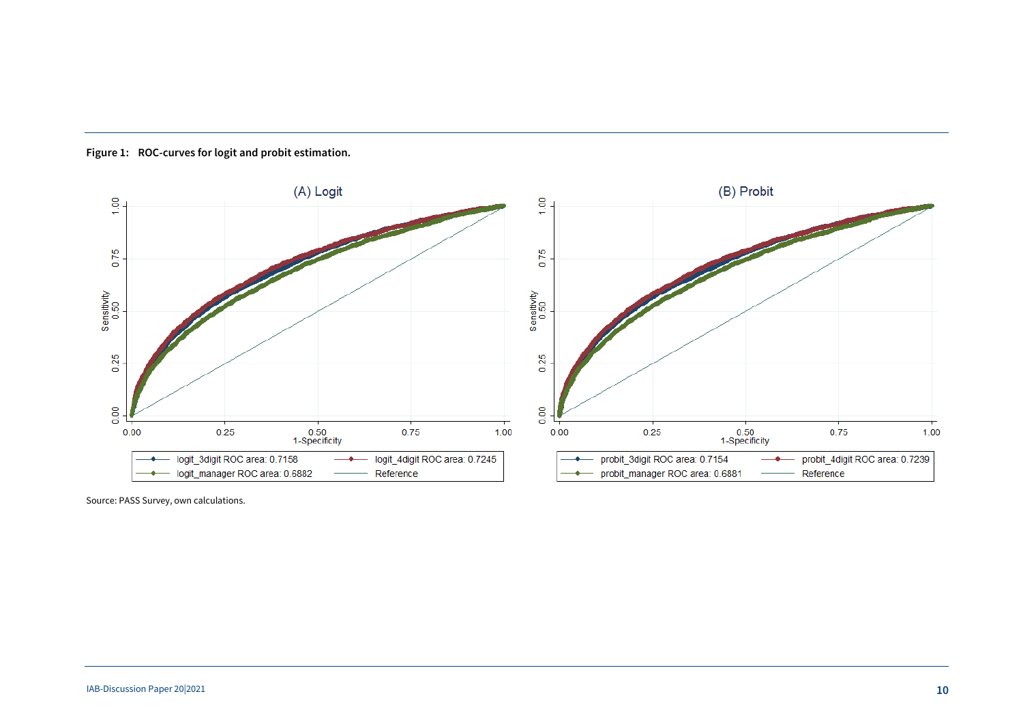

**Figure 1: ROC-curves for logit and probit estimation.**

<span id="page-9-0"></span>Source: PASS Survey, own calculations.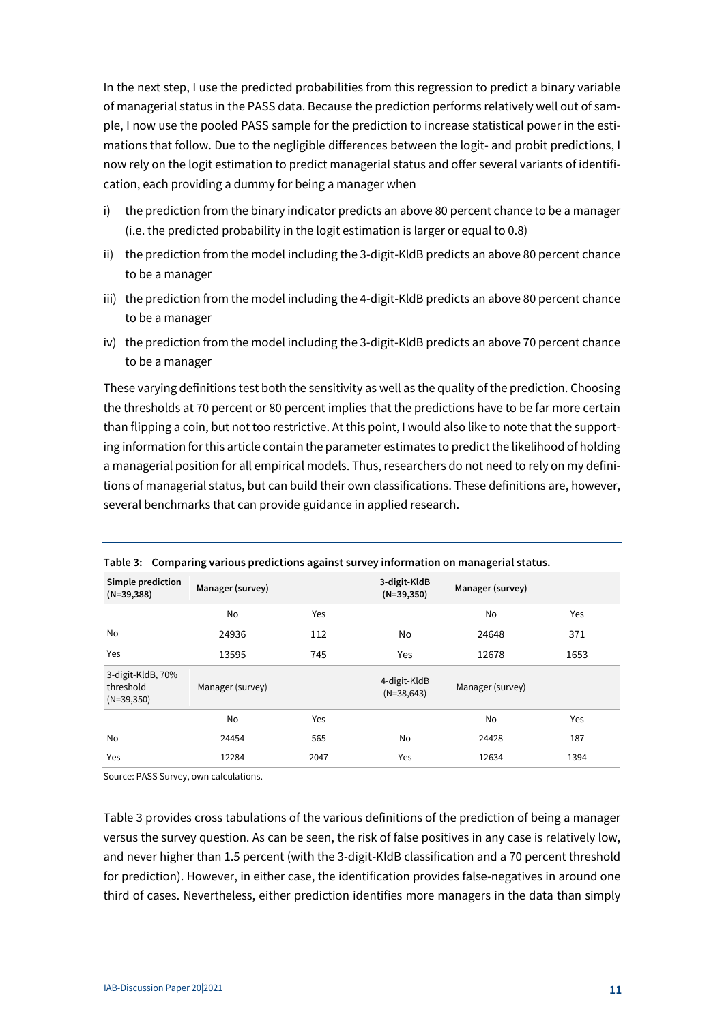In the next step, I use the predicted probabilities from this regression to predict a binary variable of managerial status in the PASS data. Because the prediction performs relatively well out of sample, I now use the pooled PASS sample for the prediction to increase statistical power in the estimations that follow. Due to the negligible differences between the logit- and probit predictions, I now rely on the logit estimation to predict managerial status and offer several variants of identification, each providing a dummy for being a manager when

- i) the prediction from the binary indicator predicts an above 80 percent chance to be a manager (i.e. the predicted probability in the logit estimation is larger or equal to 0.8)
- ii) the prediction from the model including the 3-digit-KldB predicts an above 80 percent chance to be a manager
- iii) the prediction from the model including the 4-digit-KldB predicts an above 80 percent chance to be a manager
- iv) the prediction from the model including the 3-digit-KldB predicts an above 70 percent chance to be a manager

These varying definitions test both the sensitivity as well as the quality of the prediction. Choosing the thresholds at 70 percent or 80 percent implies that the predictions have to be far more certain than flipping a coin, but not too restrictive. At this point, I would also like to note that the supporting information for this article contain the parameter estimates to predict the likelihood of holding a managerial position for all empirical models. Thus, researchers do not need to rely on my definitions of managerial status, but can build their own classifications. These definitions are, however, several benchmarks that can provide guidance in applied research.

| Simple prediction<br>$(N=39,388)$              | Manager (survey) |      | 3-digit-KldB<br>$(N=39,350)$ | Manager (survey) |      |
|------------------------------------------------|------------------|------|------------------------------|------------------|------|
|                                                | No               | Yes  |                              | No               | Yes  |
| No                                             | 24936            | 112  | No                           | 24648            | 371  |
| Yes                                            | 13595            | 745  | Yes                          | 12678            | 1653 |
| 3-digit-KldB, 70%<br>threshold<br>$(N=39,350)$ | Manager (survey) |      | 4-digit-KldB<br>$(N=38,643)$ | Manager (survey) |      |
|                                                | No               | Yes  |                              | No               | Yes  |
| No                                             | 24454            | 565  | No                           | 24428            | 187  |
| Yes                                            | 12284            | 2047 | Yes                          | 12634            | 1394 |

<span id="page-10-0"></span>**Table 3: Comparing various predictions against survey information on managerial status.**

Source: PASS Survey, own calculations.

[Table 3](#page-10-0) provides cross tabulations of the various definitions of the prediction of being a manager versus the survey question. As can be seen, the risk of false positives in any case is relatively low, and never higher than 1.5 percent (with the 3-digit-KldB classification and a 70 percent threshold for prediction). However, in either case, the identification provides false-negatives in around one third of cases. Nevertheless, either prediction identifies more managers in the data than simply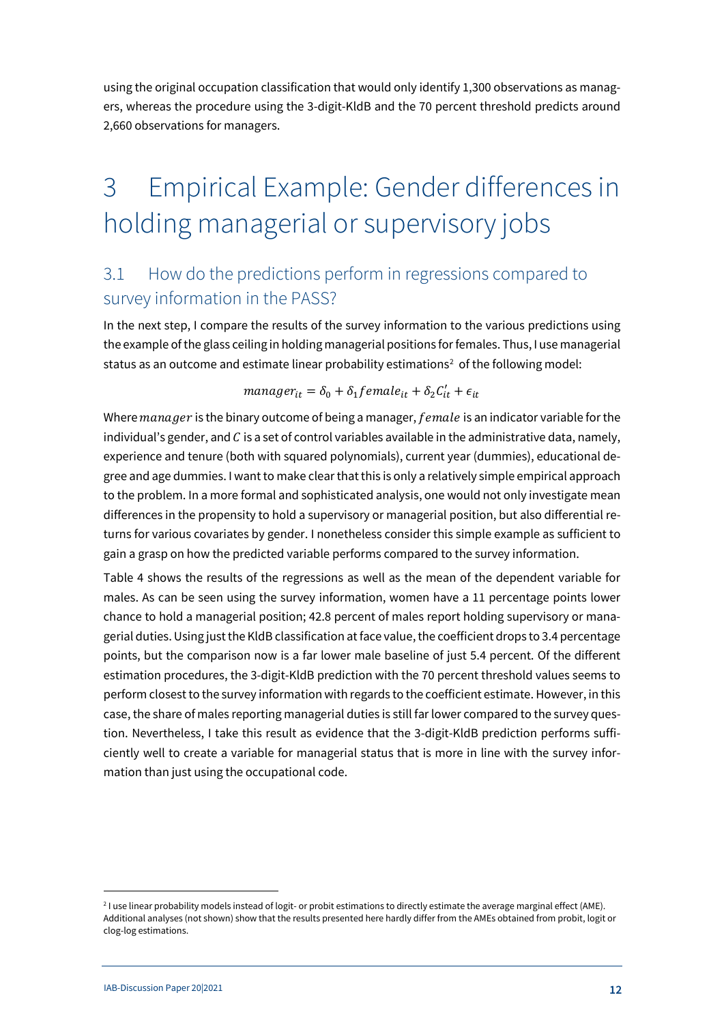using the original occupation classification that would only identify 1,300 observations as managers, whereas the procedure using the 3-digit-KldB and the 70 percent threshold predicts around 2,660 observations for managers.

# <span id="page-11-0"></span>3 Empirical Example: Gender differences in holding managerial or supervisory jobs

### <span id="page-11-1"></span>3.1 How do the predictions perform in regressions compared to survey information in the PASS?

In the next step, I compare the results of the survey information to the various predictions using the example of the glass ceiling in holding managerial positions for females. Thus, I use managerial status as an outcome and estimate linear probability estimations<sup>[2](#page-11-2)</sup> of the following model:

### $manager_{it} = \delta_0 + \delta_1 female_{it} + \delta_2 C'_{it} + \epsilon_{it}$

Where  $m$ anager is the binary outcome of being a manager,  $female$  is an indicator variable for the individual's gender, and  $C$  is a set of control variables available in the administrative data, namely, experience and tenure (both with squared polynomials), current year (dummies), educational degree and age dummies. I want to make clear that this is only a relatively simple empirical approach to the problem. In a more formal and sophisticated analysis, one would not only investigate mean differences in the propensity to hold a supervisory or managerial position, but also differential returns for various covariates by gender. I nonetheless consider this simple example as sufficient to gain a grasp on how the predicted variable performs compared to the survey information.

[Table 4](#page-12-1) shows the results of the regressions as well as the mean of the dependent variable for males. As can be seen using the survey information, women have a 11 percentage points lower chance to hold a managerial position; 42.8 percent of males report holding supervisory or managerial duties. Using just the KldB classification at face value, the coefficient drops to 3.4 percentage points, but the comparison now is a far lower male baseline of just 5.4 percent. Of the different estimation procedures, the 3-digit-KldB prediction with the 70 percent threshold values seems to perform closest to the survey information with regards to the coefficient estimate. However, in this case, the share of males reporting managerial duties is still far lower compared to the survey question. Nevertheless, I take this result as evidence that the 3-digit-KldB prediction performs sufficiently well to create a variable for managerial status that is more in line with the survey information than just using the occupational code.

1

<span id="page-11-2"></span><sup>&</sup>lt;sup>2</sup> I use linear probability models instead of logit- or probit estimations to directly estimate the average marginal effect (AME). Additional analyses (not shown) show that the results presented here hardly differ from the AMEs obtained from probit, logit or clog-log estimations.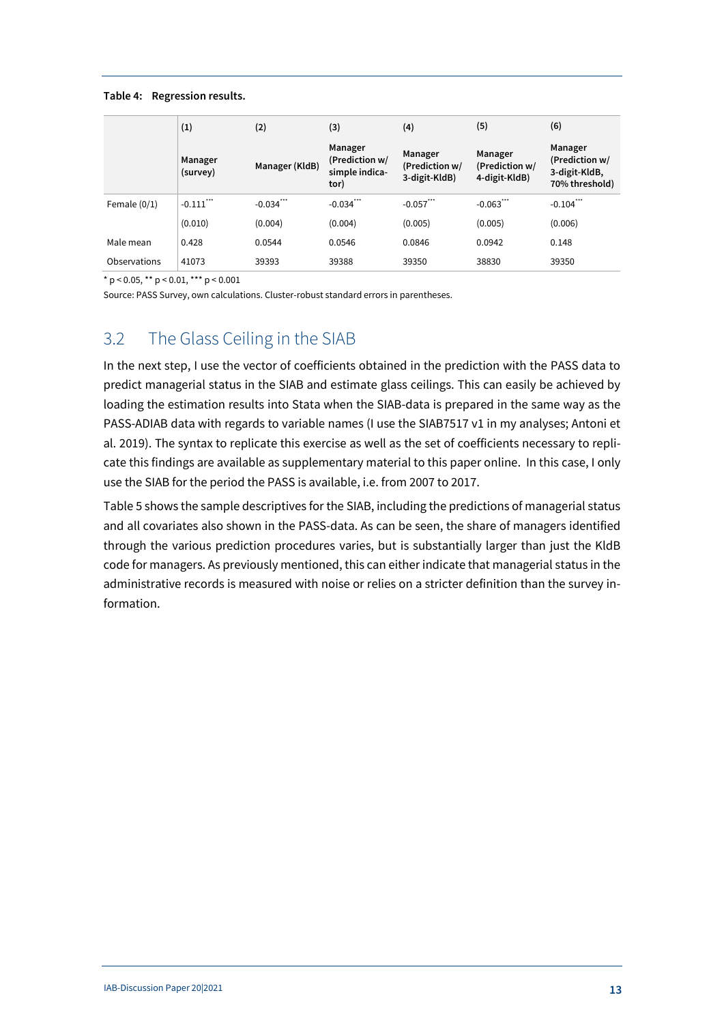#### <span id="page-12-1"></span>**Table 4: Regression results.**

|                | (1)                 | (2)            | (3)                                                 | (4)                                        | (5)                                        | (6)                                                          |
|----------------|---------------------|----------------|-----------------------------------------------------|--------------------------------------------|--------------------------------------------|--------------------------------------------------------------|
|                | Manager<br>(survey) | Manager (KldB) | Manager<br>(Prediction w/<br>simple indica-<br>tor) | Manager<br>(Prediction w/<br>3-digit-KldB) | Manager<br>(Prediction w/<br>4-digit-KldB) | Manager<br>(Prediction w/<br>3-digit-KldB,<br>70% threshold) |
| Female $(0/1)$ | $-0.111$ "          | $-0.034$ ***   | $-0.034$ ***                                        | $-0.057$ ***                               | $-0.063$ ***                               | $-0.104$ ***                                                 |
|                | (0.010)             | (0.004)        | (0.004)                                             | (0.005)                                    | (0.005)                                    | (0.006)                                                      |
| Male mean      | 0.428               | 0.0544         | 0.0546                                              | 0.0846                                     | 0.0942                                     | 0.148                                                        |
| Observations   | 41073               | 39393          | 39388                                               | 39350                                      | 38830                                      | 39350                                                        |

\* p < 0.05, \*\* p < 0.01, \*\*\* p < 0.001

Source: PASS Survey, own calculations. Cluster-robust standard errors in parentheses.

### <span id="page-12-0"></span>3.2 The Glass Ceiling in the SIAB

In the next step, I use the vector of coefficients obtained in the prediction with the PASS data to predict managerial status in the SIAB and estimate glass ceilings. This can easily be achieved by loading the estimation results into Stata when the SIAB-data is prepared in the same way as the PASS-ADIAB data with regards to variable names (I use the SIAB7517 v1 in my analyses; Antoni et al. 2019). The syntax to replicate this exercise as well as the set of coefficients necessary to replicate this findings are available as supplementary material to this paper online. In this case, I only use the SIAB for the period the PASS is available, i.e. from 2007 to 2017.

Table 5 shows the sample descriptives for the SIAB, including the predictions of managerial status and all covariates also shown in the PASS-data. As can be seen, the share of managers identified through the various prediction procedures varies, but is substantially larger than just the KldB code for managers. As previously mentioned, this can either indicate that managerial status in the administrative records is measured with noise or relies on a stricter definition than the survey information.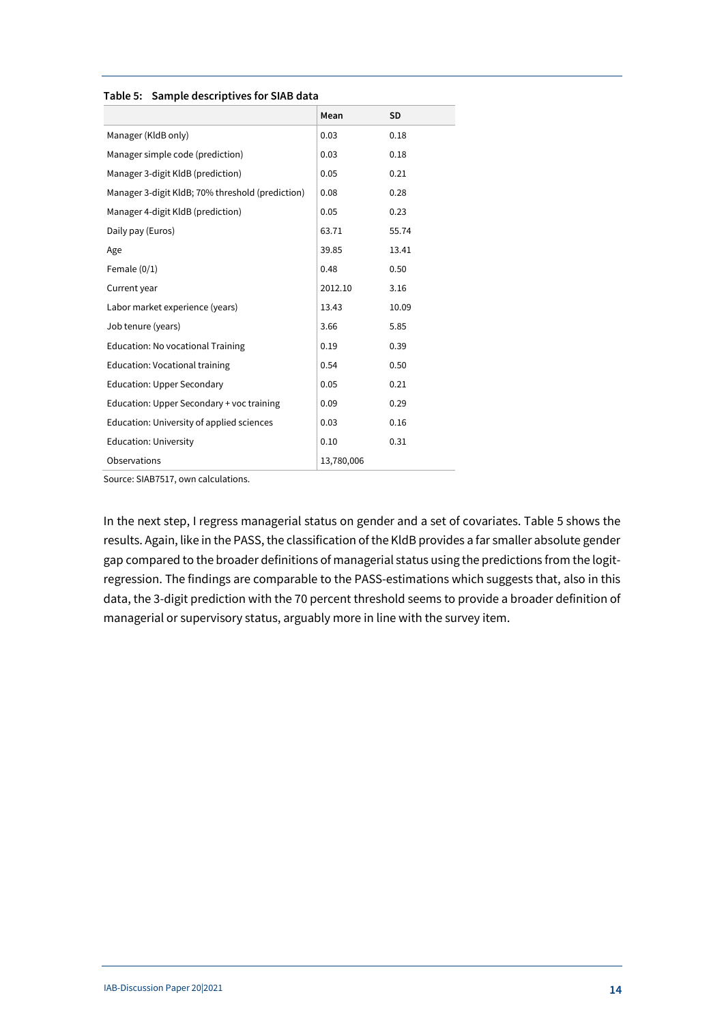<span id="page-13-0"></span>**Table 5: Sample descriptives for SIAB data**

|                                                  | Mean       | <b>SD</b> |
|--------------------------------------------------|------------|-----------|
| Manager (KldB only)                              | 0.03       | 0.18      |
| Manager simple code (prediction)                 | 0.03       | 0.18      |
| Manager 3-digit KldB (prediction)                | 0.05       | 0.21      |
| Manager 3-digit KldB; 70% threshold (prediction) | 0.08       | 0.28      |
| Manager 4-digit KldB (prediction)                | 0.05       | 0.23      |
| Daily pay (Euros)                                | 63.71      | 55.74     |
| Age                                              | 39.85      | 13.41     |
| Female $(0/1)$                                   | 0.48       | 0.50      |
| Current year                                     | 2012.10    | 3.16      |
| Labor market experience (years)                  | 13.43      | 10.09     |
| Job tenure (years)                               | 3.66       | 5.85      |
| <b>Education: No vocational Training</b>         | 0.19       | 0.39      |
| <b>Education: Vocational training</b>            | 0.54       | 0.50      |
| <b>Education: Upper Secondary</b>                | 0.05       | 0.21      |
| Education: Upper Secondary + voc training        | 0.09       | 0.29      |
| Education: University of applied sciences        | 0.03       | 0.16      |
| <b>Education: University</b>                     | 0.10       | 0.31      |
| Observations                                     | 13,780,006 |           |

Source: SIAB7517, own calculations.

In the next step, I regress managerial status on gender and a set of covariates. [Table 5](#page-13-0) shows the results. Again, like in the PASS, the classification of the KldB provides a far smaller absolute gender gap compared to the broader definitions of managerial status using the predictions from the logitregression. The findings are comparable to the PASS-estimations which suggests that, also in this data, the 3-digit prediction with the 70 percent threshold seems to provide a broader definition of managerial or supervisory status, arguably more in line with the survey item.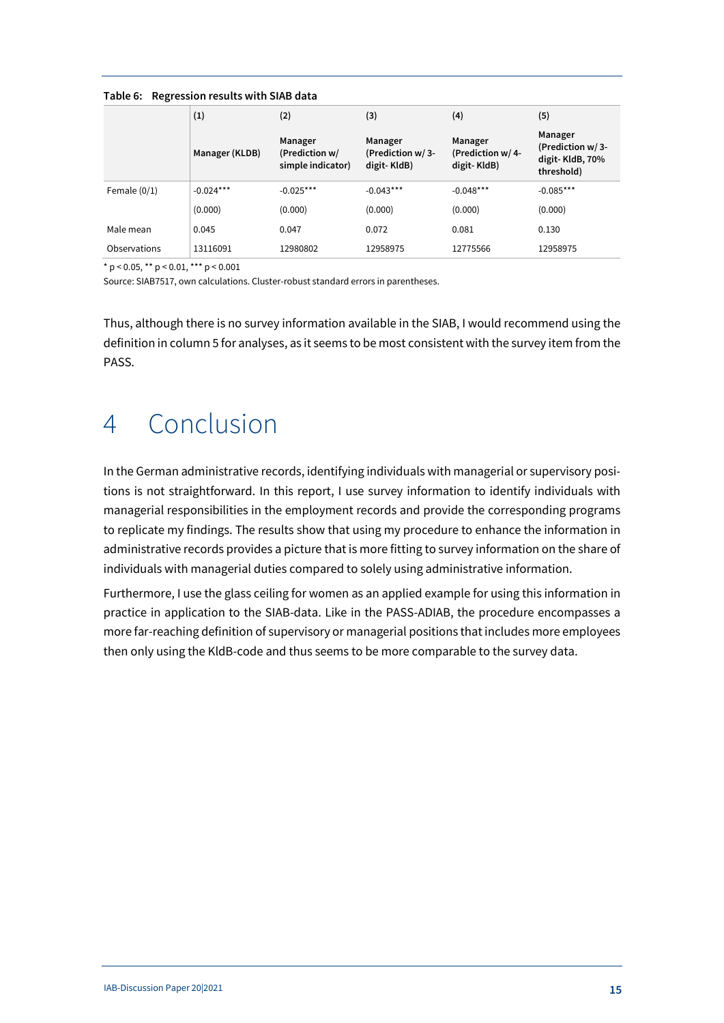<span id="page-14-1"></span>

| Table 6: Regression results with SIAB data |  |  |
|--------------------------------------------|--|--|
|                                            |  |  |

|                | (1)            | (2)                                            | (3)                                        | (4)                                        | (5)                                                          |
|----------------|----------------|------------------------------------------------|--------------------------------------------|--------------------------------------------|--------------------------------------------------------------|
|                | Manager (KLDB) | Manager<br>(Prediction w/<br>simple indicator) | Manager<br>(Prediction w/3-<br>digit-KldB) | Manager<br>(Prediction w/4-<br>digit-KldB) | Manager<br>(Prediction w/3-<br>digit-KldB, 70%<br>threshold) |
| Female $(0/1)$ | $-0.024***$    | $-0.025***$                                    | $-0.043***$                                | $-0.048***$                                | $-0.085***$                                                  |
|                | (0.000)        | (0.000)                                        | (0.000)                                    | (0.000)                                    | (0.000)                                                      |
| Male mean      | 0.045          | 0.047                                          | 0.072                                      | 0.081                                      | 0.130                                                        |
| Observations   | 13116091       | 12980802                                       | 12958975                                   | 12775566                                   | 12958975                                                     |

\* p < 0.05, \*\* p < 0.01, \*\*\* p < 0.001

Source: SIAB7517, own calculations. Cluster-robust standard errors in parentheses.

Thus, although there is no survey information available in the SIAB, I would recommend using the definition in column 5 for analyses, as it seems to be most consistent with the survey item from the PASS.

# <span id="page-14-0"></span>4 Conclusion

In the German administrative records, identifying individuals with managerial or supervisory positions is not straightforward. In this report, I use survey information to identify individuals with managerial responsibilities in the employment records and provide the corresponding programs to replicate my findings. The results show that using my procedure to enhance the information in administrative records provides a picture that is more fitting to survey information on the share of individuals with managerial duties compared to solely using administrative information.

Furthermore, I use the glass ceiling for women as an applied example for using this information in practice in application to the SIAB-data. Like in the PASS-ADIAB, the procedure encompasses a more far-reaching definition of supervisory or managerial positions that includes more employees then only using the KldB-code and thus seems to be more comparable to the survey data.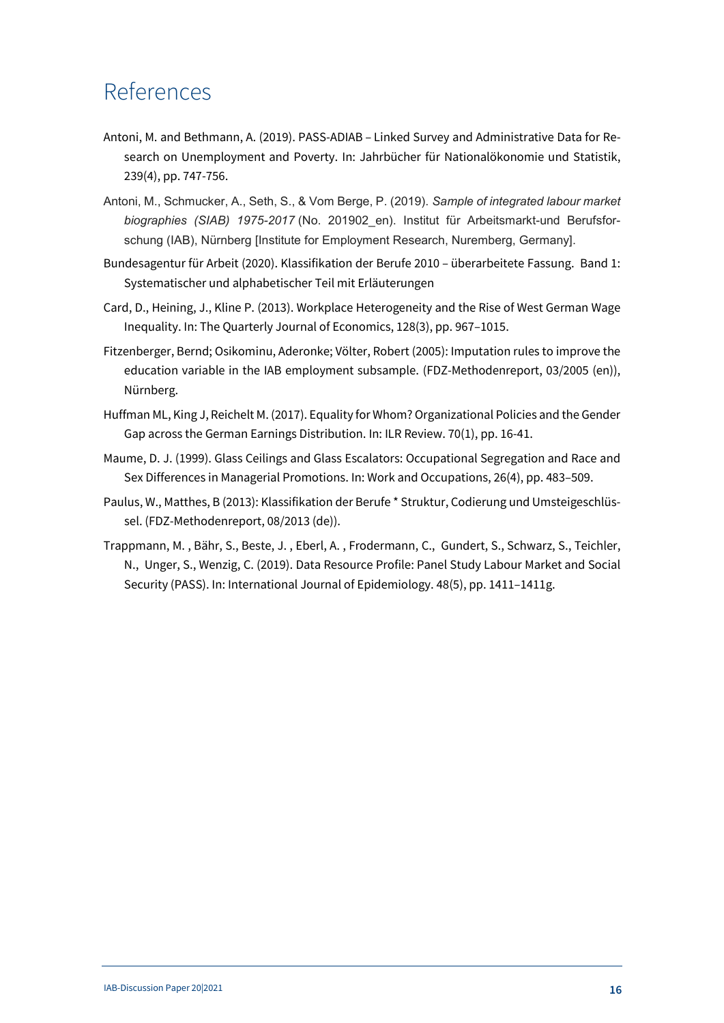### References

- Antoni, M. and Bethmann, A. (2019). PASS-ADIAB Linked Survey and Administrative Data for Research on Unemployment and Poverty. In: Jahrbücher für Nationalökonomie und Statistik, 239(4), pp. 747-756.
- Antoni, M., Schmucker, A., Seth, S., & Vom Berge, P. (2019). *Sample of integrated labour market biographies (SIAB) 1975-2017* (No. 201902\_en). Institut für Arbeitsmarkt-und Berufsforschung (IAB), Nürnberg [Institute for Employment Research, Nuremberg, Germany].
- Bundesagentur für Arbeit (2020). Klassifikation der Berufe 2010 überarbeitete Fassung. Band 1: Systematischer und alphabetischer Teil mit Erläuterungen
- Card, D., Heining, J., Kline P. (2013). Workplace Heterogeneity and the Rise of West German Wage Inequality. In: The Quarterly Journal of Economics, 128(3), pp. 967–1015.
- Fitzenberger, Bernd; Osikominu, Aderonke; Völter, Robert (2005): Imputation rules to improve the education variable in the IAB employment subsample. (FDZ-Methodenreport, 03/2005 (en)), Nürnberg.
- Huffman ML, King J, Reichelt M. (2017). Equality for Whom? Organizational Policies and the Gender Gap across the German Earnings Distribution. In: ILR Review. 70(1), pp. 16-41.
- Maume, D. J. (1999). Glass Ceilings and Glass Escalators: Occupational Segregation and Race and Sex Differences in Managerial Promotions. In: Work and Occupations, 26(4), pp. 483–509.
- Paulus, W., Matthes, B (2013): Klassifikation der Berufe \* Struktur, Codierung und Umsteigeschlüssel. (FDZ-Methodenreport, 08/2013 (de)).
- Trappmann, M. , Bähr, S., Beste, J. , Eberl, A. , Frodermann, C., Gundert, S., Schwarz, S., Teichler, N., Unger, S., Wenzig, C. (2019). Data Resource Profile: Panel Study Labour Market and Social Security (PASS). In: International Journal of Epidemiology. 48(5), pp. 1411–1411g.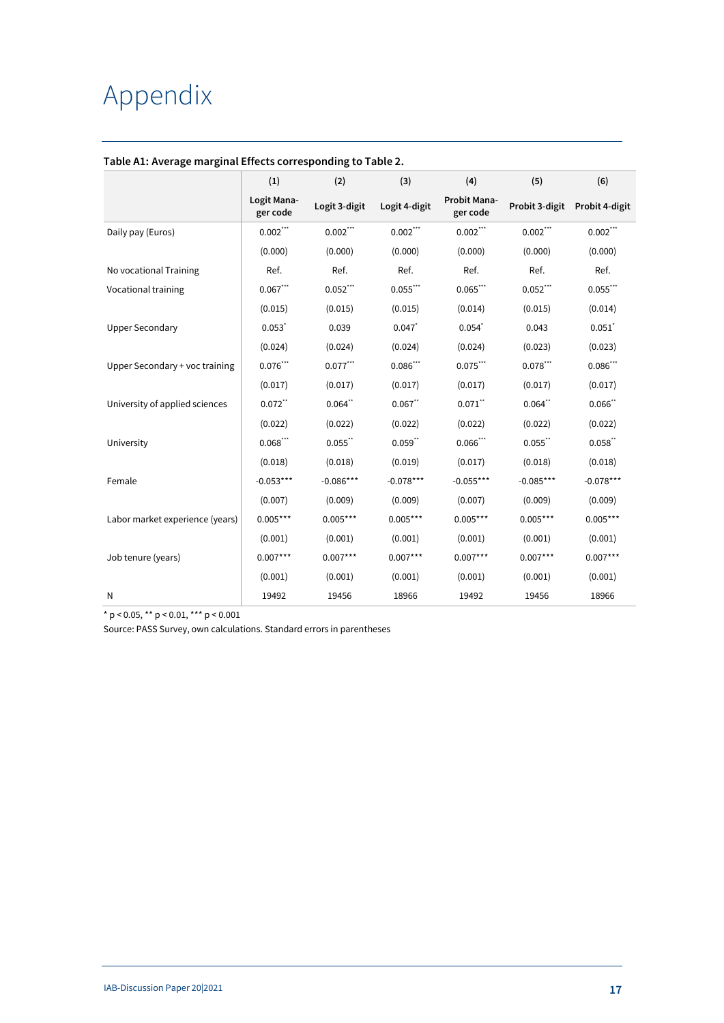# <span id="page-16-0"></span>Appendix

|                                 | (1)                     | (2)                               | (3)                   | (4)                      | (5)            | (6)                  |
|---------------------------------|-------------------------|-----------------------------------|-----------------------|--------------------------|----------------|----------------------|
|                                 | Logit Mana-<br>ger code | Logit 3-digit                     | Logit 4-digit         | Probit Mana-<br>ger code | Probit 3-digit | Probit 4-digit       |
| Daily pay (Euros)               | $0.002$ ***             | $0.002\rlap{.}^{\star\star\star}$ | $0.002***$            | $0.002$ ***              | $0.002$ ***    | $0.002***$           |
|                                 | (0.000)                 | (0.000)                           | (0.000)               | (0.000)                  | (0.000)        | (0.000)              |
| No vocational Training          | Ref.                    | Ref.                              | Ref.                  | Ref.                     | Ref.           | Ref.                 |
| Vocational training             | $0.067***$              | $0.052***$                        | $0.055$ ***           | $0.065***$               | $0.052$ ***    | $0.055$ ***          |
|                                 | (0.015)                 | (0.015)                           | (0.015)               | (0.014)                  | (0.015)        | (0.014)              |
| <b>Upper Secondary</b>          | $0.053$ <sup>*</sup>    | 0.039                             | 0.047                 | $0.054$ <sup>*</sup>     | 0.043          | $0.051$ <sup>*</sup> |
|                                 | (0.024)                 | (0.024)                           | (0.024)               | (0.024)                  | (0.023)        | (0.023)              |
| Upper Secondary + voc training  | $0.076***$              | $0.077$ ***                       | 0.086                 | $0.075***$               | $0.078***$     | $0.086***$           |
|                                 | (0.017)                 | (0.017)                           | (0.017)               | (0.017)                  | (0.017)        | (0.017)              |
| University of applied sciences  | $0.072$ "               | $0.064$ "                         | $0.067$ "             | $0.071$ **               | $0.064$ "      | $0.066$ **           |
|                                 | (0.022)                 | (0.022)                           | (0.022)               | (0.022)                  | (0.022)        | (0.022)              |
| University                      | $0.068***$              | $0.055$ **                        | $0.059$ <sup>**</sup> | $0.066***$               | $0.055$ **     | $0.058$ "            |
|                                 | (0.018)                 | (0.018)                           | (0.019)               | (0.017)                  | (0.018)        | (0.018)              |
| Female                          | $-0.053***$             | $-0.086***$                       | $-0.078***$           | $-0.055***$              | $-0.085***$    | $-0.078***$          |
|                                 | (0.007)                 | (0.009)                           | (0.009)               | (0.007)                  | (0.009)        | (0.009)              |
| Labor market experience (years) | $0.005***$              | $0.005***$                        | $0.005***$            | $0.005***$               | $0.005***$     | $0.005***$           |
|                                 | (0.001)                 | (0.001)                           | (0.001)               | (0.001)                  | (0.001)        | (0.001)              |
| Job tenure (years)              | $0.007***$              | $0.007***$                        | $0.007***$            | $0.007***$               | $0.007***$     | $0.007***$           |
|                                 | (0.001)                 | (0.001)                           | (0.001)               | (0.001)                  | (0.001)        | (0.001)              |
| N                               | 19492                   | 19456                             | 18966                 | 19492                    | 19456          | 18966                |

#### <span id="page-16-1"></span>**Table A1: Average marginal Effects corresponding to Table 2.**

\* p < 0.05, \*\* p < 0.01, \*\*\* p < 0.001

Source: PASS Survey, own calculations. Standard errors in parentheses